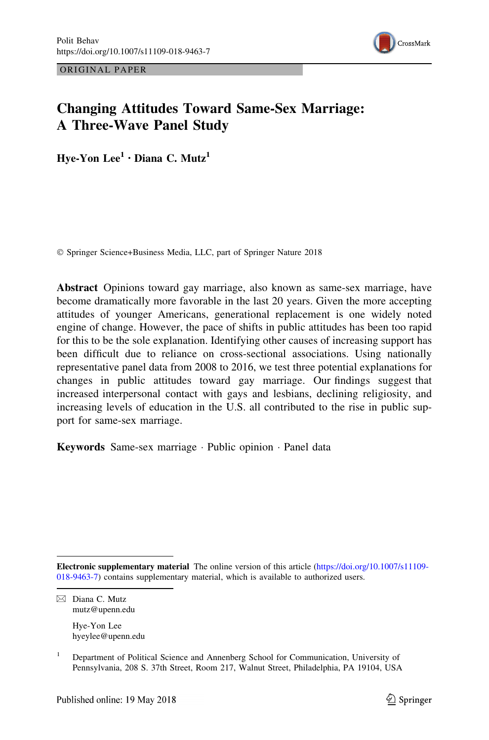



# Changing Attitudes Toward Same-Sex Marriage: A Three-Wave Panel Study

Hve-Yon Lee<sup>1</sup> · Diana C. Mutz<sup>1</sup>

© Springer Science+Business Media, LLC, part of Springer Nature 2018

Abstract Opinions toward gay marriage, also known as same-sex marriage, have become dramatically more favorable in the last 20 years. Given the more accepting attitudes of younger Americans, generational replacement is one widely noted engine of change. However, the pace of shifts in public attitudes has been too rapid for this to be the sole explanation. Identifying other causes of increasing support has been difficult due to reliance on cross-sectional associations. Using nationally representative panel data from 2008 to 2016, we test three potential explanations for changes in public attitudes toward gay marriage. Our findings suggest that increased interpersonal contact with gays and lesbians, declining religiosity, and increasing levels of education in the U.S. all contributed to the rise in public support for same-sex marriage.

Keywords Same-sex marriage - Public opinion - Panel data

Electronic supplementary material The online version of this article ([https://doi.org/10.1007/s11109-](https://doi.org/10.1007/s11109-018-9463-7) [018-9463-7](https://doi.org/10.1007/s11109-018-9463-7)) contains supplementary material, which is available to authorized users.

 $\boxtimes$  Diana C. Mutz mutz@upenn.edu

Hye-Yon Lee hyeylee@upenn.edu

<sup>&</sup>lt;sup>1</sup> Department of Political Science and Annenberg School for Communication, University of Pennsylvania, 208 S. 37th Street, Room 217, Walnut Street, Philadelphia, PA 19104, USA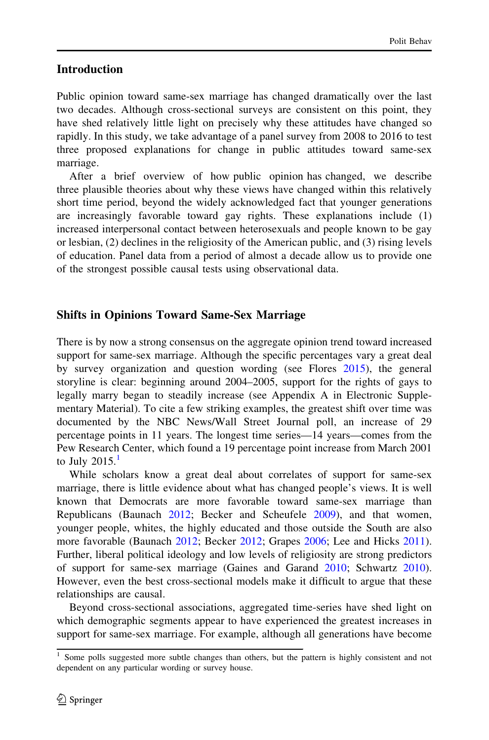# Introduction

Public opinion toward same-sex marriage has changed dramatically over the last two decades. Although cross-sectional surveys are consistent on this point, they have shed relatively little light on precisely why these attitudes have changed so rapidly. In this study, we take advantage of a panel survey from 2008 to 2016 to test three proposed explanations for change in public attitudes toward same-sex marriage.

After a brief overview of how public opinion has changed, we describe three plausible theories about why these views have changed within this relatively short time period, beyond the widely acknowledged fact that younger generations are increasingly favorable toward gay rights. These explanations include (1) increased interpersonal contact between heterosexuals and people known to be gay or lesbian, (2) declines in the religiosity of the American public, and (3) rising levels of education. Panel data from a period of almost a decade allow us to provide one of the strongest possible causal tests using observational data.

# Shifts in Opinions Toward Same-Sex Marriage

There is by now a strong consensus on the aggregate opinion trend toward increased support for same-sex marriage. Although the specific percentages vary a great deal by survey organization and question wording (see Flores [2015\)](#page-20-0), the general storyline is clear: beginning around 2004–2005, support for the rights of gays to legally marry began to steadily increase (see Appendix A in Electronic Supplementary Material). To cite a few striking examples, the greatest shift over time was documented by the NBC News/Wall Street Journal poll, an increase of 29 percentage points in 11 years. The longest time series—14 years—comes from the Pew Research Center, which found a 19 percentage point increase from March 2001 to July  $2015.<sup>1</sup>$ 

While scholars know a great deal about correlates of support for same-sex marriage, there is little evidence about what has changed people's views. It is well known that Democrats are more favorable toward same-sex marriage than Republicans (Baunach [2012;](#page-19-0) Becker and Scheufele [2009](#page-19-0)), and that women, younger people, whites, the highly educated and those outside the South are also more favorable (Baunach [2012;](#page-19-0) Becker [2012;](#page-19-0) Grapes [2006](#page-20-0); Lee and Hicks [2011\)](#page-20-0). Further, liberal political ideology and low levels of religiosity are strong predictors of support for same-sex marriage (Gaines and Garand [2010;](#page-20-0) Schwartz [2010\)](#page-21-0). However, even the best cross-sectional models make it difficult to argue that these relationships are causal.

Beyond cross-sectional associations, aggregated time-series have shed light on which demographic segments appear to have experienced the greatest increases in support for same-sex marriage. For example, although all generations have become

Some polls suggested more subtle changes than others, but the pattern is highly consistent and not dependent on any particular wording or survey house.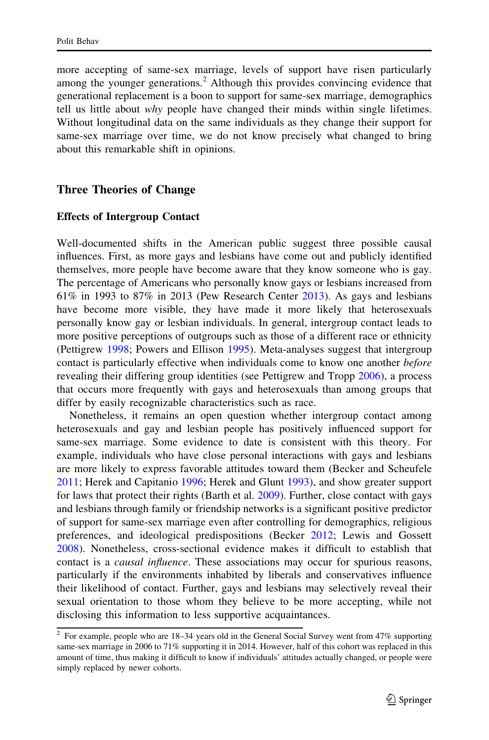more accepting of same-sex marriage, levels of support have risen particularly among the younger generations.<sup>2</sup> Although this provides convincing evidence that generational replacement is a boon to support for same-sex marriage, demographics tell us little about why people have changed their minds within single lifetimes. Without longitudinal data on the same individuals as they change their support for same-sex marriage over time, we do not know precisely what changed to bring about this remarkable shift in opinions.

### Three Theories of Change

#### Effects of Intergroup Contact

Well-documented shifts in the American public suggest three possible causal influences. First, as more gays and lesbians have come out and publicly identified themselves, more people have become aware that they know someone who is gay. The percentage of Americans who personally know gays or lesbians increased from 61% in 1993 to 87% in 2013 (Pew Research Center [2013\)](#page-20-0). As gays and lesbians have become more visible, they have made it more likely that heterosexuals personally know gay or lesbian individuals. In general, intergroup contact leads to more positive perceptions of outgroups such as those of a different race or ethnicity (Pettigrew [1998](#page-20-0); Powers and Ellison [1995\)](#page-21-0). Meta-analyses suggest that intergroup contact is particularly effective when individuals come to know one another *before* revealing their differing group identities (see Pettigrew and Tropp [2006](#page-20-0)), a process that occurs more frequently with gays and heterosexuals than among groups that differ by easily recognizable characteristics such as race.

Nonetheless, it remains an open question whether intergroup contact among heterosexuals and gay and lesbian people has positively influenced support for same-sex marriage. Some evidence to date is consistent with this theory. For example, individuals who have close personal interactions with gays and lesbians are more likely to express favorable attitudes toward them (Becker and Scheufele [2011;](#page-19-0) Herek and Capitanio [1996;](#page-20-0) Herek and Glunt [1993](#page-20-0)), and show greater support for laws that protect their rights (Barth et al. [2009\)](#page-19-0). Further, close contact with gays and lesbians through family or friendship networks is a significant positive predictor of support for same-sex marriage even after controlling for demographics, religious preferences, and ideological predispositions (Becker [2012;](#page-19-0) Lewis and Gossett [2008\)](#page-20-0). Nonetheless, cross-sectional evidence makes it difficult to establish that contact is a *causal influence*. These associations may occur for spurious reasons, particularly if the environments inhabited by liberals and conservatives influence their likelihood of contact. Further, gays and lesbians may selectively reveal their sexual orientation to those whom they believe to be more accepting, while not disclosing this information to less supportive acquaintances.

 $2$  For example, people who are 18-34 years old in the General Social Survey went from 47% supporting same-sex marriage in 2006 to 71% supporting it in 2014. However, half of this cohort was replaced in this amount of time, thus making it difficult to know if individuals' attitudes actually changed, or people were simply replaced by newer cohorts.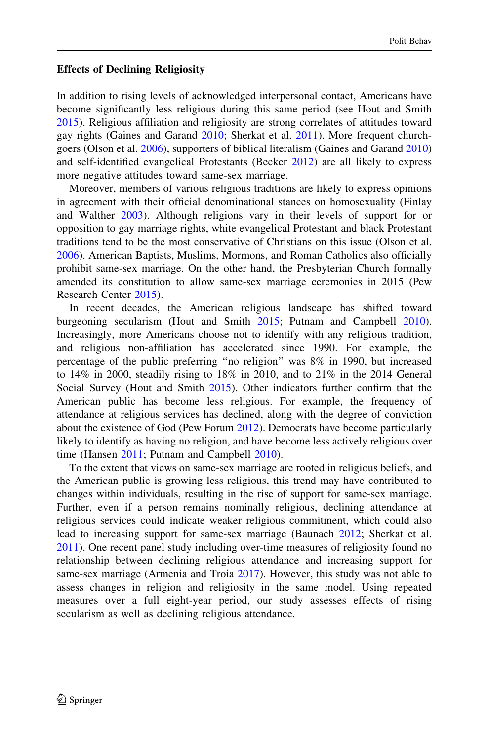#### Effects of Declining Religiosity

In addition to rising levels of acknowledged interpersonal contact, Americans have become significantly less religious during this same period (see Hout and Smith [2015\)](#page-20-0). Religious affiliation and religiosity are strong correlates of attitudes toward gay rights (Gaines and Garand [2010](#page-20-0); Sherkat et al. [2011](#page-21-0)). More frequent churchgoers (Olson et al. [2006\)](#page-20-0), supporters of biblical literalism (Gaines and Garand [2010](#page-20-0)) and self-identified evangelical Protestants (Becker [2012](#page-19-0)) are all likely to express more negative attitudes toward same-sex marriage.

Moreover, members of various religious traditions are likely to express opinions in agreement with their official denominational stances on homosexuality (Finlay and Walther [2003\)](#page-20-0). Although religions vary in their levels of support for or opposition to gay marriage rights, white evangelical Protestant and black Protestant traditions tend to be the most conservative of Christians on this issue (Olson et al. [2006\)](#page-20-0). American Baptists, Muslims, Mormons, and Roman Catholics also officially prohibit same-sex marriage. On the other hand, the Presbyterian Church formally amended its constitution to allow same-sex marriage ceremonies in 2015 (Pew Research Center [2015](#page-20-0)).

In recent decades, the American religious landscape has shifted toward burgeoning secularism (Hout and Smith [2015](#page-20-0); Putnam and Campbell [2010\)](#page-21-0). Increasingly, more Americans choose not to identify with any religious tradition, and religious non-affiliation has accelerated since 1990. For example, the percentage of the public preferring ''no religion'' was 8% in 1990, but increased to 14% in 2000, steadily rising to 18% in 2010, and to 21% in the 2014 General Social Survey (Hout and Smith [2015](#page-20-0)). Other indicators further confirm that the American public has become less religious. For example, the frequency of attendance at religious services has declined, along with the degree of conviction about the existence of God (Pew Forum [2012\)](#page-20-0). Democrats have become particularly likely to identify as having no religion, and have become less actively religious over time (Hansen [2011;](#page-20-0) Putnam and Campbell [2010\)](#page-21-0).

To the extent that views on same-sex marriage are rooted in religious beliefs, and the American public is growing less religious, this trend may have contributed to changes within individuals, resulting in the rise of support for same-sex marriage. Further, even if a person remains nominally religious, declining attendance at religious services could indicate weaker religious commitment, which could also lead to increasing support for same-sex marriage (Baunach [2012;](#page-19-0) Sherkat et al. [2011\)](#page-21-0). One recent panel study including over-time measures of religiosity found no relationship between declining religious attendance and increasing support for same-sex marriage (Armenia and Troia [2017](#page-19-0)). However, this study was not able to assess changes in religion and religiosity in the same model. Using repeated measures over a full eight-year period, our study assesses effects of rising secularism as well as declining religious attendance.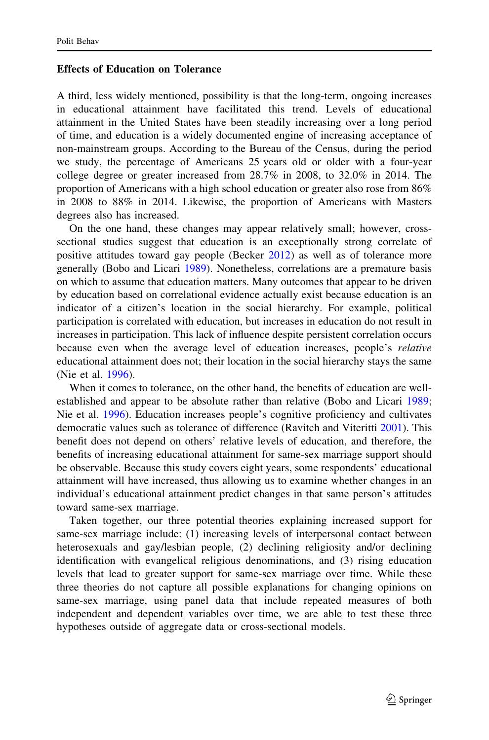#### Effects of Education on Tolerance

A third, less widely mentioned, possibility is that the long-term, ongoing increases in educational attainment have facilitated this trend. Levels of educational attainment in the United States have been steadily increasing over a long period of time, and education is a widely documented engine of increasing acceptance of non-mainstream groups. According to the Bureau of the Census, during the period we study, the percentage of Americans 25 years old or older with a four-year college degree or greater increased from 28.7% in 2008, to 32.0% in 2014. The proportion of Americans with a high school education or greater also rose from 86% in 2008 to 88% in 2014. Likewise, the proportion of Americans with Masters degrees also has increased.

On the one hand, these changes may appear relatively small; however, crosssectional studies suggest that education is an exceptionally strong correlate of positive attitudes toward gay people (Becker [2012](#page-19-0)) as well as of tolerance more generally (Bobo and Licari [1989\)](#page-20-0). Nonetheless, correlations are a premature basis on which to assume that education matters. Many outcomes that appear to be driven by education based on correlational evidence actually exist because education is an indicator of a citizen's location in the social hierarchy. For example, political participation is correlated with education, but increases in education do not result in increases in participation. This lack of influence despite persistent correlation occurs because even when the average level of education increases, people's relative educational attainment does not; their location in the social hierarchy stays the same (Nie et al. [1996\)](#page-20-0).

When it comes to tolerance, on the other hand, the benefits of education are wellestablished and appear to be absolute rather than relative (Bobo and Licari [1989;](#page-20-0) Nie et al. [1996\)](#page-20-0). Education increases people's cognitive proficiency and cultivates democratic values such as tolerance of difference (Ravitch and Viteritti [2001\)](#page-21-0). This benefit does not depend on others' relative levels of education, and therefore, the benefits of increasing educational attainment for same-sex marriage support should be observable. Because this study covers eight years, some respondents' educational attainment will have increased, thus allowing us to examine whether changes in an individual's educational attainment predict changes in that same person's attitudes toward same-sex marriage.

Taken together, our three potential theories explaining increased support for same-sex marriage include: (1) increasing levels of interpersonal contact between heterosexuals and gay/lesbian people, (2) declining religiosity and/or declining identification with evangelical religious denominations, and (3) rising education levels that lead to greater support for same-sex marriage over time. While these three theories do not capture all possible explanations for changing opinions on same-sex marriage, using panel data that include repeated measures of both independent and dependent variables over time, we are able to test these three hypotheses outside of aggregate data or cross-sectional models.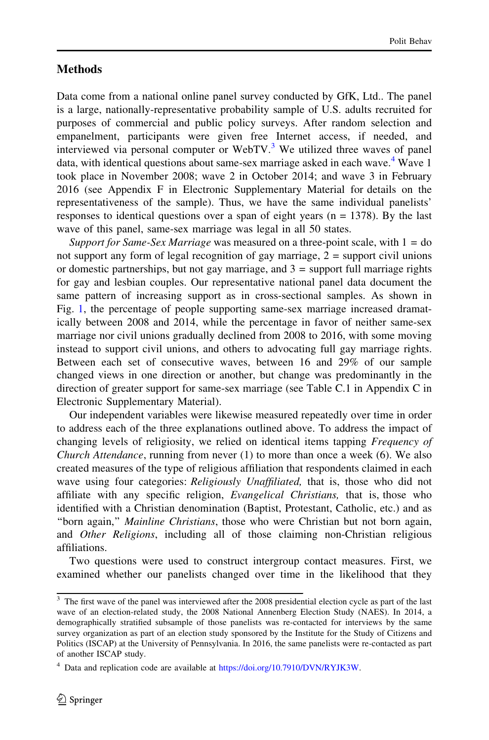## **Methods**

Data come from a national online panel survey conducted by GfK, Ltd.. The panel is a large, nationally-representative probability sample of U.S. adults recruited for purposes of commercial and public policy surveys. After random selection and empanelment, participants were given free Internet access, if needed, and interviewed via personal computer or WebTV. $3$  We utilized three waves of panel data, with identical questions about same-sex marriage asked in each wave.<sup>4</sup> Wave 1 took place in November 2008; wave 2 in October 2014; and wave 3 in February 2016 (see Appendix F in Electronic Supplementary Material for details on the representativeness of the sample). Thus, we have the same individual panelists' responses to identical questions over a span of eight years ( $n = 1378$ ). By the last wave of this panel, same-sex marriage was legal in all 50 states.

Support for Same-Sex Marriage was measured on a three-point scale, with  $1 =$  do not support any form of legal recognition of gay marriage,  $2 =$  support civil unions or domestic partnerships, but not gay marriage, and  $3 =$  support full marriage rights for gay and lesbian couples. Our representative national panel data document the same pattern of increasing support as in cross-sectional samples. As shown in Fig. [1](#page-6-0), the percentage of people supporting same-sex marriage increased dramatically between 2008 and 2014, while the percentage in favor of neither same-sex marriage nor civil unions gradually declined from 2008 to 2016, with some moving instead to support civil unions, and others to advocating full gay marriage rights. Between each set of consecutive waves, between 16 and 29% of our sample changed views in one direction or another, but change was predominantly in the direction of greater support for same-sex marriage (see Table C.1 in Appendix C in Electronic Supplementary Material).

Our independent variables were likewise measured repeatedly over time in order to address each of the three explanations outlined above. To address the impact of changing levels of religiosity, we relied on identical items tapping Frequency of *Church Attendance*, running from never  $(1)$  to more than once a week  $(6)$ . We also created measures of the type of religious affiliation that respondents claimed in each wave using four categories: Religiously Unaffiliated, that is, those who did not affiliate with any specific religion, Evangelical Christians, that is, those who identified with a Christian denomination (Baptist, Protestant, Catholic, etc.) and as ''born again,'' Mainline Christians, those who were Christian but not born again, and *Other Religions*, including all of those claiming non-Christian religious affiliations.

Two questions were used to construct intergroup contact measures. First, we examined whether our panelists changed over time in the likelihood that they

<sup>&</sup>lt;sup>3</sup> The first wave of the panel was interviewed after the 2008 presidential election cycle as part of the last wave of an election-related study, the 2008 National Annenberg Election Study (NAES). In 2014, a demographically stratified subsample of those panelists was re-contacted for interviews by the same survey organization as part of an election study sponsored by the Institute for the Study of Citizens and Politics (ISCAP) at the University of Pennsylvania. In 2016, the same panelists were re-contacted as part of another ISCAP study.

 $4$  Data and replication code are available at [https://doi.org/10.7910/DVN/RYJK3W.](https://doi.org/10.7910/DVN/RYJK3W)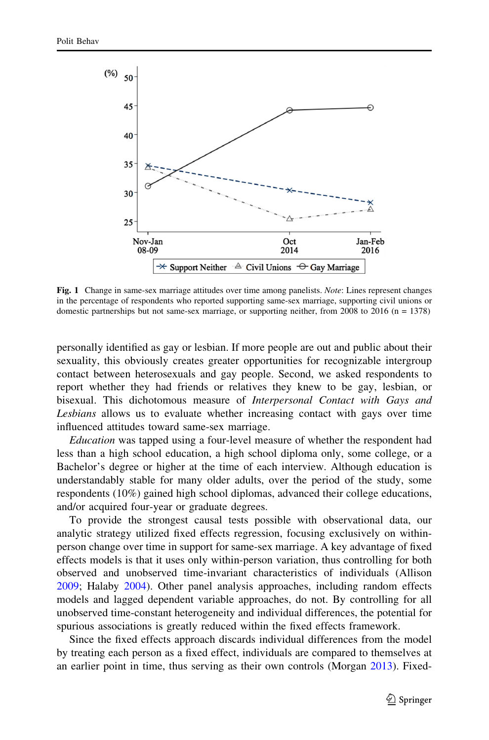<span id="page-6-0"></span>

Fig. 1 Change in same-sex marriage attitudes over time among panelists. Note: Lines represent changes in the percentage of respondents who reported supporting same-sex marriage, supporting civil unions or domestic partnerships but not same-sex marriage, or supporting neither, from 2008 to 2016 ( $n = 1378$ )

personally identified as gay or lesbian. If more people are out and public about their sexuality, this obviously creates greater opportunities for recognizable intergroup contact between heterosexuals and gay people. Second, we asked respondents to report whether they had friends or relatives they knew to be gay, lesbian, or bisexual. This dichotomous measure of Interpersonal Contact with Gays and Lesbians allows us to evaluate whether increasing contact with gays over time influenced attitudes toward same-sex marriage.

Education was tapped using a four-level measure of whether the respondent had less than a high school education, a high school diploma only, some college, or a Bachelor's degree or higher at the time of each interview. Although education is understandably stable for many older adults, over the period of the study, some respondents (10%) gained high school diplomas, advanced their college educations, and/or acquired four-year or graduate degrees.

To provide the strongest causal tests possible with observational data, our analytic strategy utilized fixed effects regression, focusing exclusively on withinperson change over time in support for same-sex marriage. A key advantage of fixed effects models is that it uses only within-person variation, thus controlling for both observed and unobserved time-invariant characteristics of individuals (Allison [2009;](#page-19-0) Halaby [2004\)](#page-20-0). Other panel analysis approaches, including random effects models and lagged dependent variable approaches, do not. By controlling for all unobserved time-constant heterogeneity and individual differences, the potential for spurious associations is greatly reduced within the fixed effects framework.

Since the fixed effects approach discards individual differences from the model by treating each person as a fixed effect, individuals are compared to themselves at an earlier point in time, thus serving as their own controls (Morgan [2013](#page-20-0)). Fixed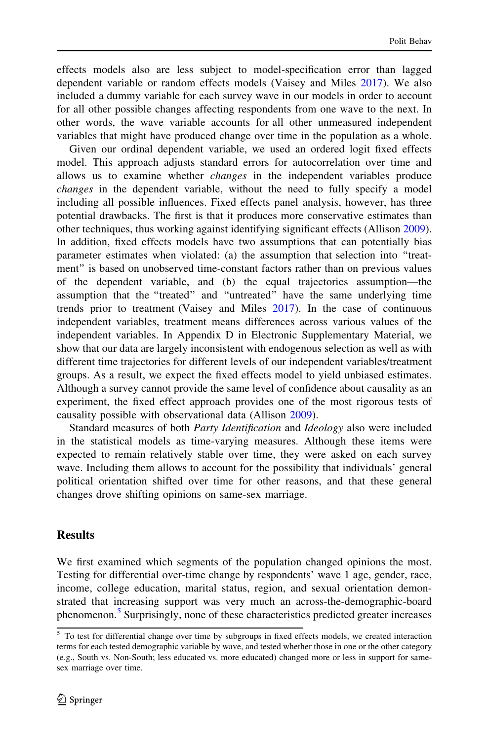effects models also are less subject to model-specification error than lagged dependent variable or random effects models (Vaisey and Miles [2017](#page-21-0)). We also included a dummy variable for each survey wave in our models in order to account for all other possible changes affecting respondents from one wave to the next. In other words, the wave variable accounts for all other unmeasured independent variables that might have produced change over time in the population as a whole.

Given our ordinal dependent variable, we used an ordered logit fixed effects model. This approach adjusts standard errors for autocorrelation over time and allows us to examine whether changes in the independent variables produce changes in the dependent variable, without the need to fully specify a model including all possible influences. Fixed effects panel analysis, however, has three potential drawbacks. The first is that it produces more conservative estimates than other techniques, thus working against identifying significant effects (Allison [2009\)](#page-19-0). In addition, fixed effects models have two assumptions that can potentially bias parameter estimates when violated: (a) the assumption that selection into ''treatment'' is based on unobserved time-constant factors rather than on previous values of the dependent variable, and (b) the equal trajectories assumption—the assumption that the ''treated'' and ''untreated'' have the same underlying time trends prior to treatment (Vaisey and Miles [2017](#page-21-0)). In the case of continuous independent variables, treatment means differences across various values of the independent variables. In Appendix D in Electronic Supplementary Material, we show that our data are largely inconsistent with endogenous selection as well as with different time trajectories for different levels of our independent variables/treatment groups. As a result, we expect the fixed effects model to yield unbiased estimates. Although a survey cannot provide the same level of confidence about causality as an experiment, the fixed effect approach provides one of the most rigorous tests of causality possible with observational data (Allison [2009\)](#page-19-0).

Standard measures of both Party Identification and Ideology also were included in the statistical models as time-varying measures. Although these items were expected to remain relatively stable over time, they were asked on each survey wave. Including them allows to account for the possibility that individuals' general political orientation shifted over time for other reasons, and that these general changes drove shifting opinions on same-sex marriage.

## **Results**

We first examined which segments of the population changed opinions the most. Testing for differential over-time change by respondents' wave 1 age, gender, race, income, college education, marital status, region, and sexual orientation demonstrated that increasing support was very much an across-the-demographic-board phenomenon.<sup>5</sup> Surprisingly, none of these characteristics predicted greater increases

<sup>&</sup>lt;sup>5</sup> To test for differential change over time by subgroups in fixed effects models, we created interaction terms for each tested demographic variable by wave, and tested whether those in one or the other category (e.g., South vs. Non-South; less educated vs. more educated) changed more or less in support for samesex marriage over time.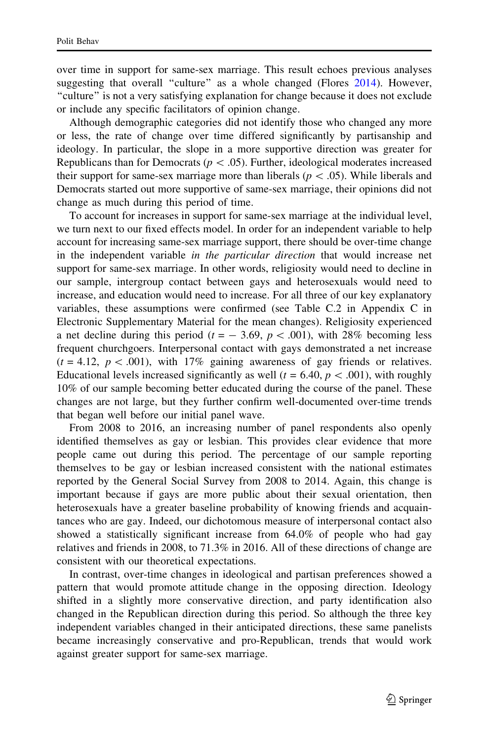over time in support for same-sex marriage. This result echoes previous analyses suggesting that overall "culture" as a whole changed (Flores [2014\)](#page-20-0). However, ''culture'' is not a very satisfying explanation for change because it does not exclude or include any specific facilitators of opinion change.

Although demographic categories did not identify those who changed any more or less, the rate of change over time differed significantly by partisanship and ideology. In particular, the slope in a more supportive direction was greater for Republicans than for Democrats ( $p\lt .05$ ). Further, ideological moderates increased their support for same-sex marriage more than liberals ( $p \lt 0.05$ ). While liberals and Democrats started out more supportive of same-sex marriage, their opinions did not change as much during this period of time.

To account for increases in support for same-sex marriage at the individual level, we turn next to our fixed effects model. In order for an independent variable to help account for increasing same-sex marriage support, there should be over-time change in the independent variable in the particular direction that would increase net support for same-sex marriage. In other words, religiosity would need to decline in our sample, intergroup contact between gays and heterosexuals would need to increase, and education would need to increase. For all three of our key explanatory variables, these assumptions were confirmed (see Table C.2 in Appendix C in Electronic Supplementary Material for the mean changes). Religiosity experienced a net decline during this period ( $t = -3.69$ ,  $p < .001$ ), with 28% becoming less frequent churchgoers. Interpersonal contact with gays demonstrated a net increase  $(t = 4.12, p < .001)$ , with 17% gaining awareness of gay friends or relatives. Educational levels increased significantly as well ( $t = 6.40, p < .001$ ), with roughly 10% of our sample becoming better educated during the course of the panel. These changes are not large, but they further confirm well-documented over-time trends that began well before our initial panel wave.

From 2008 to 2016, an increasing number of panel respondents also openly identified themselves as gay or lesbian. This provides clear evidence that more people came out during this period. The percentage of our sample reporting themselves to be gay or lesbian increased consistent with the national estimates reported by the General Social Survey from 2008 to 2014. Again, this change is important because if gays are more public about their sexual orientation, then heterosexuals have a greater baseline probability of knowing friends and acquaintances who are gay. Indeed, our dichotomous measure of interpersonal contact also showed a statistically significant increase from 64.0% of people who had gay relatives and friends in 2008, to 71.3% in 2016. All of these directions of change are consistent with our theoretical expectations.

In contrast, over-time changes in ideological and partisan preferences showed a pattern that would promote attitude change in the opposing direction. Ideology shifted in a slightly more conservative direction, and party identification also changed in the Republican direction during this period. So although the three key independent variables changed in their anticipated directions, these same panelists became increasingly conservative and pro-Republican, trends that would work against greater support for same-sex marriage.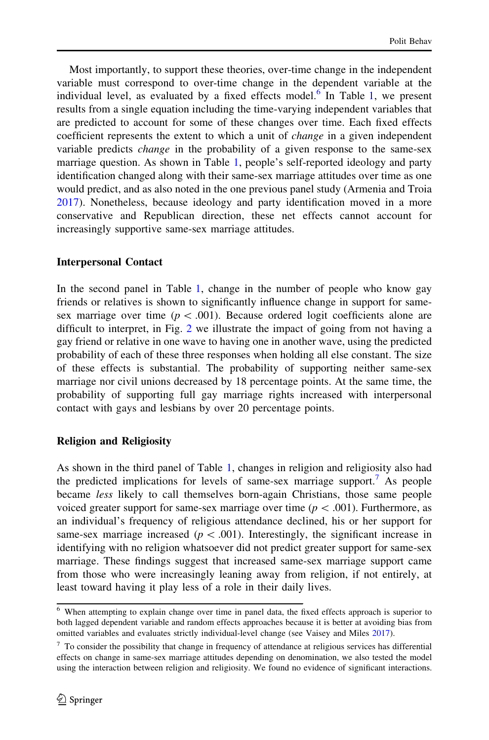Most importantly, to support these theories, over-time change in the independent variable must correspond to over-time change in the dependent variable at the individual level, as evaluated by a fixed effects model. $6$  In Table [1](#page-10-0), we present results from a single equation including the time-varying independent variables that are predicted to account for some of these changes over time. Each fixed effects coefficient represents the extent to which a unit of *change* in a given independent variable predicts change in the probability of a given response to the same-sex marriage question. As shown in Table [1,](#page-10-0) people's self-reported ideology and party identification changed along with their same-sex marriage attitudes over time as one would predict, and as also noted in the one previous panel study (Armenia and Troia [2017\)](#page-19-0). Nonetheless, because ideology and party identification moved in a more conservative and Republican direction, these net effects cannot account for increasingly supportive same-sex marriage attitudes.

## Interpersonal Contact

In the second panel in Table [1,](#page-10-0) change in the number of people who know gay friends or relatives is shown to significantly influence change in support for samesex marriage over time ( $p < .001$ ). Because ordered logit coefficients alone are difficult to interpret, in Fig. [2](#page-11-0) we illustrate the impact of going from not having a gay friend or relative in one wave to having one in another wave, using the predicted probability of each of these three responses when holding all else constant. The size of these effects is substantial. The probability of supporting neither same-sex marriage nor civil unions decreased by 18 percentage points. At the same time, the probability of supporting full gay marriage rights increased with interpersonal contact with gays and lesbians by over 20 percentage points.

## Religion and Religiosity

As shown in the third panel of Table [1,](#page-10-0) changes in religion and religiosity also had the predicted implications for levels of same-sex marriage support.<sup>7</sup> As people became less likely to call themselves born-again Christians, those same people voiced greater support for same-sex marriage over time ( $p < .001$ ). Furthermore, as an individual's frequency of religious attendance declined, his or her support for same-sex marriage increased ( $p < .001$ ). Interestingly, the significant increase in identifying with no religion whatsoever did not predict greater support for same-sex marriage. These findings suggest that increased same-sex marriage support came from those who were increasingly leaning away from religion, if not entirely, at least toward having it play less of a role in their daily lives.

<sup>&</sup>lt;sup>6</sup> When attempting to explain change over time in panel data, the fixed effects approach is superior to both lagged dependent variable and random effects approaches because it is better at avoiding bias from omitted variables and evaluates strictly individual-level change (see Vaisey and Miles [2017\)](#page-21-0).

 $7$  To consider the possibility that change in frequency of attendance at religious services has differential effects on change in same-sex marriage attitudes depending on denomination, we also tested the model using the interaction between religion and religiosity. We found no evidence of significant interactions.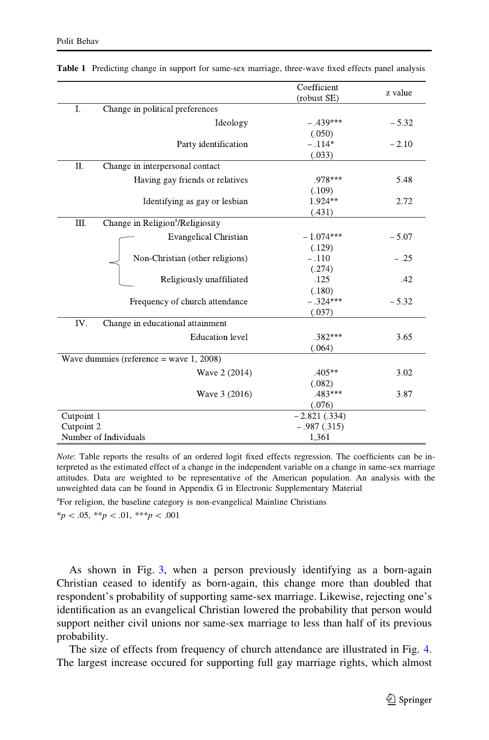|                                            |                                              | Coefficient    | z value |
|--------------------------------------------|----------------------------------------------|----------------|---------|
|                                            |                                              | (robust SE)    |         |
| I.                                         | Change in political preferences              |                |         |
|                                            | Ideology                                     | $-.439***$     | $-5.32$ |
|                                            |                                              | (.050)         |         |
|                                            | Party identification                         | $-.114*$       | $-2.10$ |
|                                            |                                              | (.033)         |         |
| Π.                                         | Change in interpersonal contact              |                |         |
|                                            | Having gay friends or relatives              | $.978***$      | 5.48    |
|                                            |                                              | (.109)         |         |
|                                            | Identifying as gay or lesbian                | $1.924**$      | 2.72    |
|                                            |                                              | (.431)         |         |
| III.                                       | Change in Religion <sup>a</sup> /Religiosity |                |         |
|                                            | <b>Evangelical Christian</b>                 | $-1.074***$    | $-5.07$ |
|                                            |                                              | (.129)         |         |
|                                            | Non-Christian (other religions)              | $-.110$        | $-.25$  |
|                                            |                                              | (.274)         |         |
|                                            | Religiously unaffiliated                     | .125           | .42     |
|                                            |                                              | (.180)         |         |
|                                            | Frequency of church attendance               | $-.324***$     | $-5.32$ |
|                                            |                                              | (.037)         |         |
| IV.                                        | Change in educational attainment             |                |         |
|                                            | <b>Education</b> level                       | $.382***$      | 3.65    |
|                                            |                                              | (.064)         |         |
| Wave dummies (reference = wave $1, 2008$ ) |                                              |                |         |
|                                            | Wave 2 (2014)                                | $.405**$       | 3.02    |
|                                            |                                              | (.082)         |         |
|                                            | Wave 3 (2016)                                | $.483***$      | 3.87    |
|                                            |                                              | (.076)         |         |
| Cutpoint 1                                 |                                              | $-2.821(.334)$ |         |
| Cutpoint 2                                 |                                              | $-.987(.315)$  |         |
| Number of Individuals                      |                                              | 1,361          |         |

<span id="page-10-0"></span>Table 1 Predicting change in support for same-sex marriage, three-wave fixed effects panel analysis

Note: Table reports the results of an ordered logit fixed effects regression. The coefficients can be interpreted as the estimated effect of a change in the independent variable on a change in same-sex marriage attitudes. Data are weighted to be representative of the American population. An analysis with the unweighted data can be found in Appendix G in Electronic Supplementary Material

<sup>a</sup>For religion, the baseline category is non-evangelical Mainline Christians

 $*_{p} < .05, **_{p} < .01, **_{p} < .001$ 

As shown in Fig. [3,](#page-11-0) when a person previously identifying as a born-again Christian ceased to identify as born-again, this change more than doubled that respondent's probability of supporting same-sex marriage. Likewise, rejecting one's identification as an evangelical Christian lowered the probability that person would support neither civil unions nor same-sex marriage to less than half of its previous probability.

The size of effects from frequency of church attendance are illustrated in Fig. [4.](#page-12-0) The largest increase occured for supporting full gay marriage rights, which almost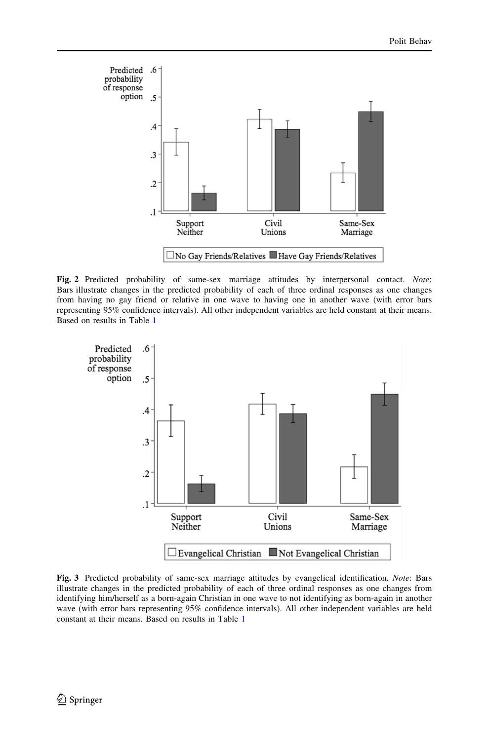<span id="page-11-0"></span>

Fig. 2 Predicted probability of same-sex marriage attitudes by interpersonal contact. Note: Bars illustrate changes in the predicted probability of each of three ordinal responses as one changes from having no gay friend or relative in one wave to having one in another wave (with error bars representing 95% confidence intervals). All other independent variables are held constant at their means. Based on results in Table [1](#page-10-0)



Fig. 3 Predicted probability of same-sex marriage attitudes by evangelical identification. Note: Bars illustrate changes in the predicted probability of each of three ordinal responses as one changes from identifying him/herself as a born-again Christian in one wave to not identifying as born-again in another wave (with error bars representing 95% confidence intervals). All other independent variables are held constant at their means. Based on results in Table [1](#page-10-0)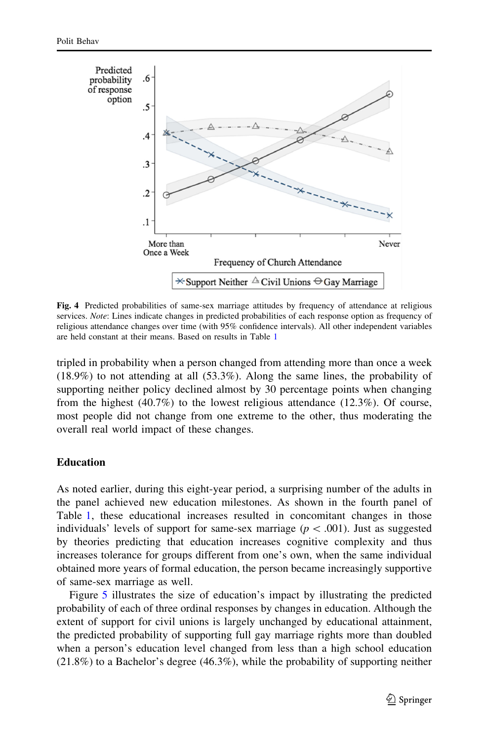<span id="page-12-0"></span>

Fig. 4 Predicted probabilities of same-sex marriage attitudes by frequency of attendance at religious services. Note: Lines indicate changes in predicted probabilities of each response option as frequency of religious attendance changes over time (with 95% confidence intervals). All other independent variables are held constant at their means. Based on results in Table [1](#page-10-0)

tripled in probability when a person changed from attending more than once a week (18.9%) to not attending at all (53.3%). Along the same lines, the probability of supporting neither policy declined almost by 30 percentage points when changing from the highest (40.7%) to the lowest religious attendance (12.3%). Of course, most people did not change from one extreme to the other, thus moderating the overall real world impact of these changes.

## Education

As noted earlier, during this eight-year period, a surprising number of the adults in the panel achieved new education milestones. As shown in the fourth panel of Table [1](#page-10-0), these educational increases resulted in concomitant changes in those individuals' levels of support for same-sex marriage ( $p < .001$ ). Just as suggested by theories predicting that education increases cognitive complexity and thus increases tolerance for groups different from one's own, when the same individual obtained more years of formal education, the person became increasingly supportive of same-sex marriage as well.

Figure [5](#page-13-0) illustrates the size of education's impact by illustrating the predicted probability of each of three ordinal responses by changes in education. Although the extent of support for civil unions is largely unchanged by educational attainment, the predicted probability of supporting full gay marriage rights more than doubled when a person's education level changed from less than a high school education  $(21.8%)$  to a Bachelor's degree  $(46.3%)$ , while the probability of supporting neither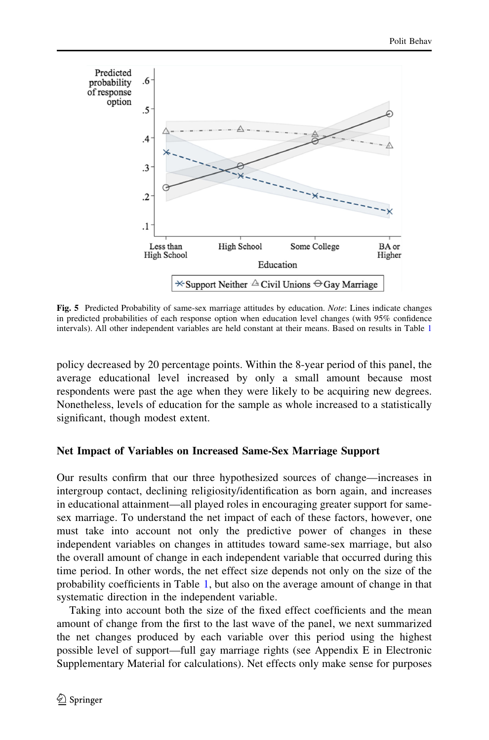<span id="page-13-0"></span>

Fig. 5 Predicted Probability of same-sex marriage attitudes by education. Note: Lines indicate changes in predicted probabilities of each response option when education level changes (with 95% confidence intervals). All other independent variables are held constant at their means. Based on results in Table [1](#page-10-0)

policy decreased by 20 percentage points. Within the 8-year period of this panel, the average educational level increased by only a small amount because most respondents were past the age when they were likely to be acquiring new degrees. Nonetheless, levels of education for the sample as whole increased to a statistically significant, though modest extent.

### Net Impact of Variables on Increased Same-Sex Marriage Support

Our results confirm that our three hypothesized sources of change—increases in intergroup contact, declining religiosity/identification as born again, and increases in educational attainment—all played roles in encouraging greater support for samesex marriage. To understand the net impact of each of these factors, however, one must take into account not only the predictive power of changes in these independent variables on changes in attitudes toward same-sex marriage, but also the overall amount of change in each independent variable that occurred during this time period. In other words, the net effect size depends not only on the size of the probability coefficients in Table [1,](#page-10-0) but also on the average amount of change in that systematic direction in the independent variable.

Taking into account both the size of the fixed effect coefficients and the mean amount of change from the first to the last wave of the panel, we next summarized the net changes produced by each variable over this period using the highest possible level of support—full gay marriage rights (see Appendix E in Electronic Supplementary Material for calculations). Net effects only make sense for purposes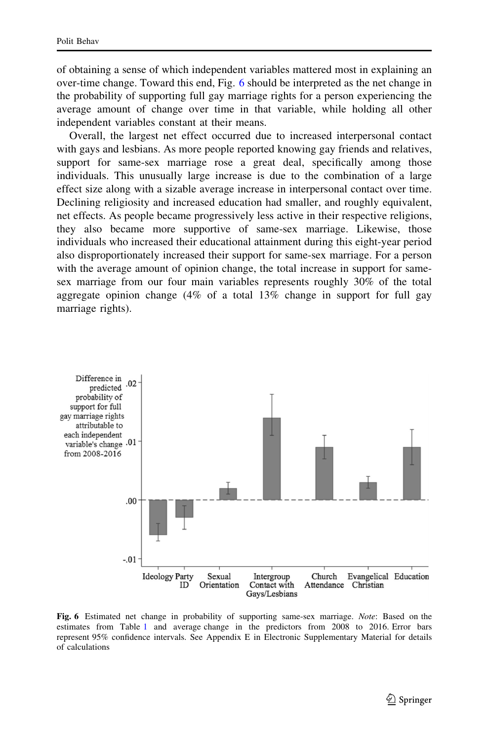of obtaining a sense of which independent variables mattered most in explaining an over-time change. Toward this end, Fig. 6 should be interpreted as the net change in the probability of supporting full gay marriage rights for a person experiencing the average amount of change over time in that variable, while holding all other independent variables constant at their means.

Overall, the largest net effect occurred due to increased interpersonal contact with gays and lesbians. As more people reported knowing gay friends and relatives, support for same-sex marriage rose a great deal, specifically among those individuals. This unusually large increase is due to the combination of a large effect size along with a sizable average increase in interpersonal contact over time. Declining religiosity and increased education had smaller, and roughly equivalent, net effects. As people became progressively less active in their respective religions, they also became more supportive of same-sex marriage. Likewise, those individuals who increased their educational attainment during this eight-year period also disproportionately increased their support for same-sex marriage. For a person with the average amount of opinion change, the total increase in support for samesex marriage from our four main variables represents roughly 30% of the total aggregate opinion change (4% of a total 13% change in support for full gay marriage rights).



Fig. 6 Estimated net change in probability of supporting same-sex marriage. Note: Based on the estimates from Table [1](#page-10-0) and average change in the predictors from 2008 to 2016. Error bars represent 95% confidence intervals. See Appendix E in Electronic Supplementary Material for details of calculations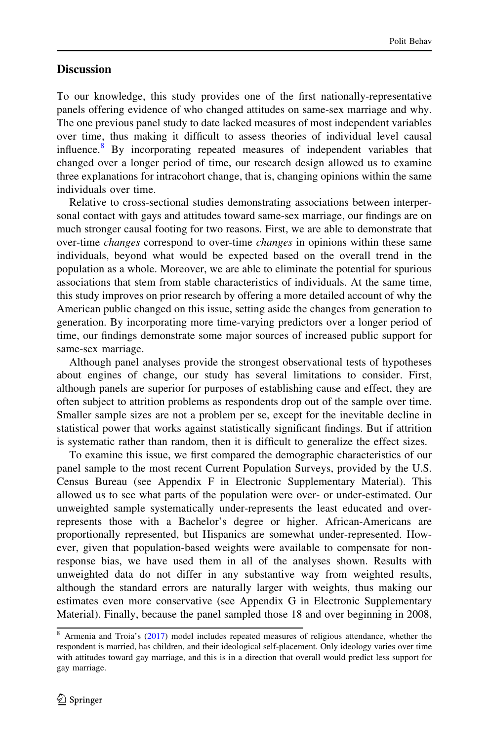## **Discussion**

To our knowledge, this study provides one of the first nationally-representative panels offering evidence of who changed attitudes on same-sex marriage and why. The one previous panel study to date lacked measures of most independent variables over time, thus making it difficult to assess theories of individual level causal influence.<sup>8</sup> By incorporating repeated measures of independent variables that changed over a longer period of time, our research design allowed us to examine three explanations for intracohort change, that is, changing opinions within the same individuals over time.

Relative to cross-sectional studies demonstrating associations between interpersonal contact with gays and attitudes toward same-sex marriage, our findings are on much stronger causal footing for two reasons. First, we are able to demonstrate that over-time changes correspond to over-time changes in opinions within these same individuals, beyond what would be expected based on the overall trend in the population as a whole. Moreover, we are able to eliminate the potential for spurious associations that stem from stable characteristics of individuals. At the same time, this study improves on prior research by offering a more detailed account of why the American public changed on this issue, setting aside the changes from generation to generation. By incorporating more time-varying predictors over a longer period of time, our findings demonstrate some major sources of increased public support for same-sex marriage.

Although panel analyses provide the strongest observational tests of hypotheses about engines of change, our study has several limitations to consider. First, although panels are superior for purposes of establishing cause and effect, they are often subject to attrition problems as respondents drop out of the sample over time. Smaller sample sizes are not a problem per se, except for the inevitable decline in statistical power that works against statistically significant findings. But if attrition is systematic rather than random, then it is difficult to generalize the effect sizes.

To examine this issue, we first compared the demographic characteristics of our panel sample to the most recent Current Population Surveys, provided by the U.S. Census Bureau (see Appendix F in Electronic Supplementary Material). This allowed us to see what parts of the population were over- or under-estimated. Our unweighted sample systematically under-represents the least educated and overrepresents those with a Bachelor's degree or higher. African-Americans are proportionally represented, but Hispanics are somewhat under-represented. However, given that population-based weights were available to compensate for nonresponse bias, we have used them in all of the analyses shown. Results with unweighted data do not differ in any substantive way from weighted results, although the standard errors are naturally larger with weights, thus making our estimates even more conservative (see Appendix G in Electronic Supplementary Material). Finally, because the panel sampled those 18 and over beginning in 2008,

<sup>8</sup> Armenia and Troia's [\(2017](#page-19-0)) model includes repeated measures of religious attendance, whether the respondent is married, has children, and their ideological self-placement. Only ideology varies over time with attitudes toward gay marriage, and this is in a direction that overall would predict less support for gay marriage.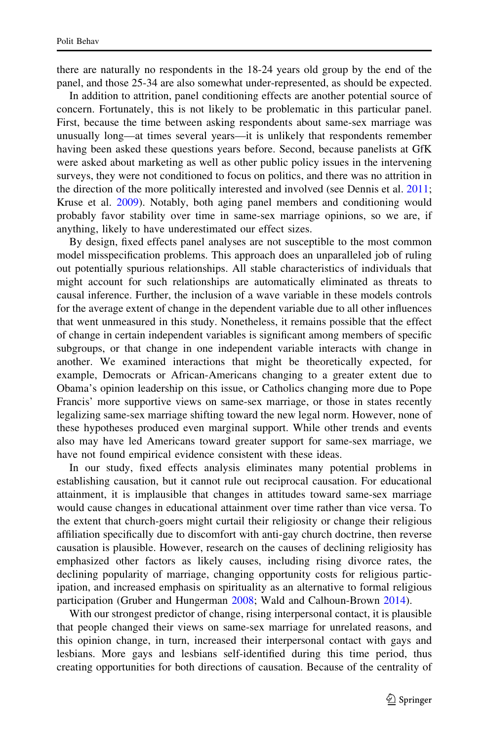there are naturally no respondents in the 18-24 years old group by the end of the panel, and those 25-34 are also somewhat under-represented, as should be expected.

In addition to attrition, panel conditioning effects are another potential source of concern. Fortunately, this is not likely to be problematic in this particular panel. First, because the time between asking respondents about same-sex marriage was unusually long—at times several years—it is unlikely that respondents remember having been asked these questions years before. Second, because panelists at GfK were asked about marketing as well as other public policy issues in the intervening surveys, they were not conditioned to focus on politics, and there was no attrition in the direction of the more politically interested and involved (see Dennis et al. [2011;](#page-20-0) Kruse et al. [2009\)](#page-20-0). Notably, both aging panel members and conditioning would probably favor stability over time in same-sex marriage opinions, so we are, if anything, likely to have underestimated our effect sizes.

By design, fixed effects panel analyses are not susceptible to the most common model misspecification problems. This approach does an unparalleled job of ruling out potentially spurious relationships. All stable characteristics of individuals that might account for such relationships are automatically eliminated as threats to causal inference. Further, the inclusion of a wave variable in these models controls for the average extent of change in the dependent variable due to all other influences that went unmeasured in this study. Nonetheless, it remains possible that the effect of change in certain independent variables is significant among members of specific subgroups, or that change in one independent variable interacts with change in another. We examined interactions that might be theoretically expected, for example, Democrats or African-Americans changing to a greater extent due to Obama's opinion leadership on this issue, or Catholics changing more due to Pope Francis' more supportive views on same-sex marriage, or those in states recently legalizing same-sex marriage shifting toward the new legal norm. However, none of these hypotheses produced even marginal support. While other trends and events also may have led Americans toward greater support for same-sex marriage, we have not found empirical evidence consistent with these ideas.

In our study, fixed effects analysis eliminates many potential problems in establishing causation, but it cannot rule out reciprocal causation. For educational attainment, it is implausible that changes in attitudes toward same-sex marriage would cause changes in educational attainment over time rather than vice versa. To the extent that church-goers might curtail their religiosity or change their religious affiliation specifically due to discomfort with anti-gay church doctrine, then reverse causation is plausible. However, research on the causes of declining religiosity has emphasized other factors as likely causes, including rising divorce rates, the declining popularity of marriage, changing opportunity costs for religious participation, and increased emphasis on spirituality as an alternative to formal religious participation (Gruber and Hungerman [2008](#page-20-0); Wald and Calhoun-Brown [2014\)](#page-21-0).

With our strongest predictor of change, rising interpersonal contact, it is plausible that people changed their views on same-sex marriage for unrelated reasons, and this opinion change, in turn, increased their interpersonal contact with gays and lesbians. More gays and lesbians self-identified during this time period, thus creating opportunities for both directions of causation. Because of the centrality of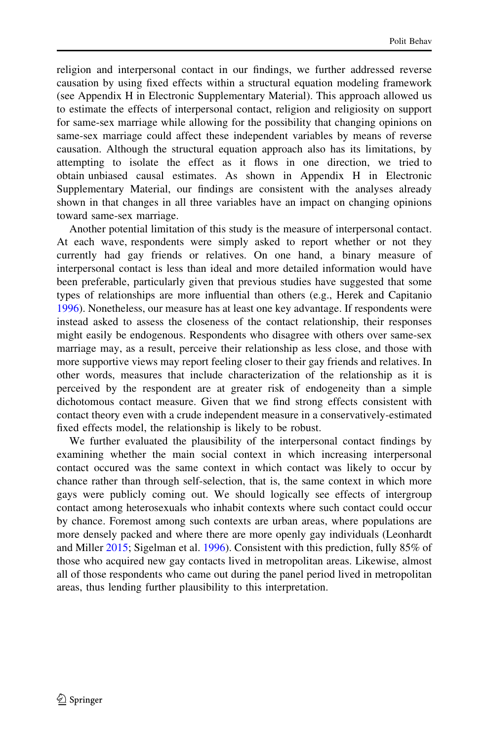religion and interpersonal contact in our findings, we further addressed reverse causation by using fixed effects within a structural equation modeling framework (see Appendix H in Electronic Supplementary Material). This approach allowed us to estimate the effects of interpersonal contact, religion and religiosity on support for same-sex marriage while allowing for the possibility that changing opinions on same-sex marriage could affect these independent variables by means of reverse causation. Although the structural equation approach also has its limitations, by attempting to isolate the effect as it flows in one direction, we tried to obtain unbiased causal estimates. As shown in Appendix H in Electronic Supplementary Material, our findings are consistent with the analyses already shown in that changes in all three variables have an impact on changing opinions toward same-sex marriage.

Another potential limitation of this study is the measure of interpersonal contact. At each wave, respondents were simply asked to report whether or not they currently had gay friends or relatives. On one hand, a binary measure of interpersonal contact is less than ideal and more detailed information would have been preferable, particularly given that previous studies have suggested that some types of relationships are more influential than others (e.g., Herek and Capitanio [1996\)](#page-20-0). Nonetheless, our measure has at least one key advantage. If respondents were instead asked to assess the closeness of the contact relationship, their responses might easily be endogenous. Respondents who disagree with others over same-sex marriage may, as a result, perceive their relationship as less close, and those with more supportive views may report feeling closer to their gay friends and relatives. In other words, measures that include characterization of the relationship as it is perceived by the respondent are at greater risk of endogeneity than a simple dichotomous contact measure. Given that we find strong effects consistent with contact theory even with a crude independent measure in a conservatively-estimated fixed effects model, the relationship is likely to be robust.

We further evaluated the plausibility of the interpersonal contact findings by examining whether the main social context in which increasing interpersonal contact occured was the same context in which contact was likely to occur by chance rather than through self-selection, that is, the same context in which more gays were publicly coming out. We should logically see effects of intergroup contact among heterosexuals who inhabit contexts where such contact could occur by chance. Foremost among such contexts are urban areas, where populations are more densely packed and where there are more openly gay individuals (Leonhardt and Miller [2015](#page-20-0); Sigelman et al. [1996\)](#page-21-0). Consistent with this prediction, fully 85% of those who acquired new gay contacts lived in metropolitan areas. Likewise, almost all of those respondents who came out during the panel period lived in metropolitan areas, thus lending further plausibility to this interpretation.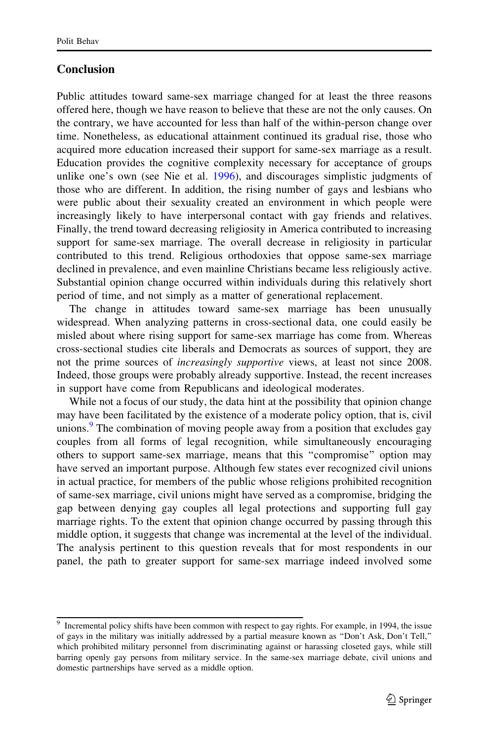# Conclusion

Public attitudes toward same-sex marriage changed for at least the three reasons offered here, though we have reason to believe that these are not the only causes. On the contrary, we have accounted for less than half of the within-person change over time. Nonetheless, as educational attainment continued its gradual rise, those who acquired more education increased their support for same-sex marriage as a result. Education provides the cognitive complexity necessary for acceptance of groups unlike one's own (see Nie et al. [1996](#page-20-0)), and discourages simplistic judgments of those who are different. In addition, the rising number of gays and lesbians who were public about their sexuality created an environment in which people were increasingly likely to have interpersonal contact with gay friends and relatives. Finally, the trend toward decreasing religiosity in America contributed to increasing support for same-sex marriage. The overall decrease in religiosity in particular contributed to this trend. Religious orthodoxies that oppose same-sex marriage declined in prevalence, and even mainline Christians became less religiously active. Substantial opinion change occurred within individuals during this relatively short period of time, and not simply as a matter of generational replacement.

The change in attitudes toward same-sex marriage has been unusually widespread. When analyzing patterns in cross-sectional data, one could easily be misled about where rising support for same-sex marriage has come from. Whereas cross-sectional studies cite liberals and Democrats as sources of support, they are not the prime sources of *increasingly supportive* views, at least not since 2008. Indeed, those groups were probably already supportive. Instead, the recent increases in support have come from Republicans and ideological moderates.

While not a focus of our study, the data hint at the possibility that opinion change may have been facilitated by the existence of a moderate policy option, that is, civil unions.<sup>9</sup> The combination of moving people away from a position that excludes gay couples from all forms of legal recognition, while simultaneously encouraging others to support same-sex marriage, means that this ''compromise'' option may have served an important purpose. Although few states ever recognized civil unions in actual practice, for members of the public whose religions prohibited recognition of same-sex marriage, civil unions might have served as a compromise, bridging the gap between denying gay couples all legal protections and supporting full gay marriage rights. To the extent that opinion change occurred by passing through this middle option, it suggests that change was incremental at the level of the individual. The analysis pertinent to this question reveals that for most respondents in our panel, the path to greater support for same-sex marriage indeed involved some

<sup>&</sup>lt;sup>9</sup> Incremental policy shifts have been common with respect to gay rights. For example, in 1994, the issue of gays in the military was initially addressed by a partial measure known as ''Don't Ask, Don't Tell,'' which prohibited military personnel from discriminating against or harassing closeted gays, while still barring openly gay persons from military service. In the same-sex marriage debate, civil unions and domestic partnerships have served as a middle option.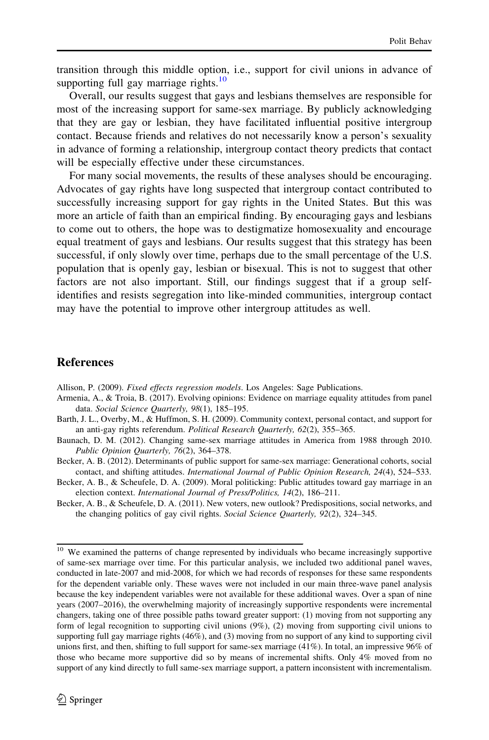<span id="page-19-0"></span>transition through this middle option, i.e., support for civil unions in advance of supporting full gay marriage rights. $10$ 

Overall, our results suggest that gays and lesbians themselves are responsible for most of the increasing support for same-sex marriage. By publicly acknowledging that they are gay or lesbian, they have facilitated influential positive intergroup contact. Because friends and relatives do not necessarily know a person's sexuality in advance of forming a relationship, intergroup contact theory predicts that contact will be especially effective under these circumstances.

For many social movements, the results of these analyses should be encouraging. Advocates of gay rights have long suspected that intergroup contact contributed to successfully increasing support for gay rights in the United States. But this was more an article of faith than an empirical finding. By encouraging gays and lesbians to come out to others, the hope was to destigmatize homosexuality and encourage equal treatment of gays and lesbians. Our results suggest that this strategy has been successful, if only slowly over time, perhaps due to the small percentage of the U.S. population that is openly gay, lesbian or bisexual. This is not to suggest that other factors are not also important. Still, our findings suggest that if a group selfidentifies and resists segregation into like-minded communities, intergroup contact may have the potential to improve other intergroup attitudes as well.

#### References

Allison, P. (2009). Fixed effects regression models. Los Angeles: Sage Publications.

- Armenia, A., & Troia, B. (2017). Evolving opinions: Evidence on marriage equality attitudes from panel data. Social Science Quarterly, 98(1), 185–195.
- Barth, J. L., Overby, M., & Huffmon, S. H. (2009). Community context, personal contact, and support for an anti-gay rights referendum. Political Research Quarterly, 62(2), 355–365.
- Baunach, D. M. (2012). Changing same-sex marriage attitudes in America from 1988 through 2010. Public Opinion Quarterly, 76(2), 364–378.
- Becker, A. B. (2012). Determinants of public support for same-sex marriage: Generational cohorts, social contact, and shifting attitudes. International Journal of Public Opinion Research, 24(4), 524–533.
- Becker, A. B., & Scheufele, D. A. (2009). Moral politicking: Public attitudes toward gay marriage in an election context. International Journal of Press/Politics, 14(2), 186–211.
- Becker, A. B., & Scheufele, D. A. (2011). New voters, new outlook? Predispositions, social networks, and the changing politics of gay civil rights. Social Science Quarterly, 92(2), 324–345.

<sup>&</sup>lt;sup>10</sup> We examined the patterns of change represented by individuals who became increasingly supportive of same-sex marriage over time. For this particular analysis, we included two additional panel waves, conducted in late-2007 and mid-2008, for which we had records of responses for these same respondents for the dependent variable only. These waves were not included in our main three-wave panel analysis because the key independent variables were not available for these additional waves. Over a span of nine years (2007–2016), the overwhelming majority of increasingly supportive respondents were incremental changers, taking one of three possible paths toward greater support: (1) moving from not supporting any form of legal recognition to supporting civil unions (9%), (2) moving from supporting civil unions to supporting full gay marriage rights (46%), and (3) moving from no support of any kind to supporting civil unions first, and then, shifting to full support for same-sex marriage (41%). In total, an impressive 96% of those who became more supportive did so by means of incremental shifts. Only 4% moved from no support of any kind directly to full same-sex marriage support, a pattern inconsistent with incrementalism.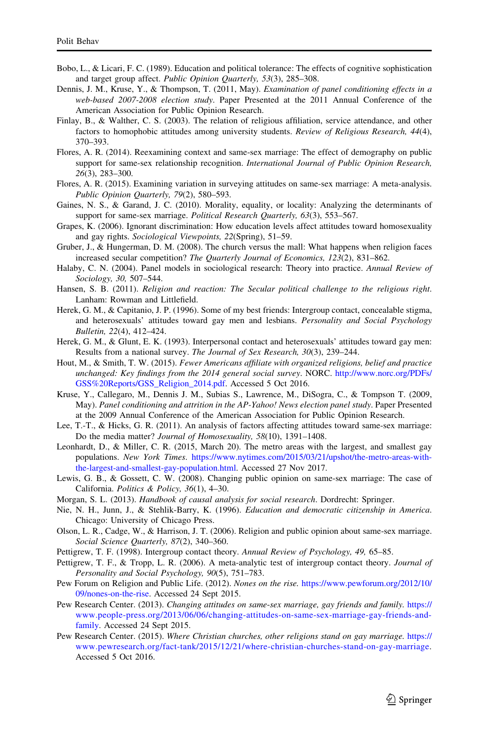- <span id="page-20-0"></span>Bobo, L., & Licari, F. C. (1989). Education and political tolerance: The effects of cognitive sophistication and target group affect. Public Opinion Quarterly, 53(3), 285–308.
- Dennis, J. M., Kruse, Y., & Thompson, T. (2011, May). Examination of panel conditioning effects in a web-based 2007-2008 election study. Paper Presented at the 2011 Annual Conference of the American Association for Public Opinion Research.
- Finlay, B., & Walther, C. S. (2003). The relation of religious affiliation, service attendance, and other factors to homophobic attitudes among university students. Review of Religious Research, 44(4), 370–393.
- Flores, A. R. (2014). Reexamining context and same-sex marriage: The effect of demography on public support for same-sex relationship recognition. *International Journal of Public Opinion Research*, 26(3), 283–300.
- Flores, A. R. (2015). Examining variation in surveying attitudes on same-sex marriage: A meta-analysis. Public Opinion Quarterly, 79(2), 580–593.
- Gaines, N. S., & Garand, J. C. (2010). Morality, equality, or locality: Analyzing the determinants of support for same-sex marriage. Political Research Quarterly, 63(3), 553-567.
- Grapes, K. (2006). Ignorant discrimination: How education levels affect attitudes toward homosexuality and gay rights. Sociological Viewpoints, 22(Spring), 51–59.
- Gruber, J., & Hungerman, D. M. (2008). The church versus the mall: What happens when religion faces increased secular competition? The Quarterly Journal of Economics, 123(2), 831–862.
- Halaby, C. N. (2004). Panel models in sociological research: Theory into practice. Annual Review of Sociology, 30, 507–544.
- Hansen, S. B. (2011). Religion and reaction: The Secular political challenge to the religious right. Lanham: Rowman and Littlefield.
- Herek, G. M., & Capitanio, J. P. (1996). Some of my best friends: Intergroup contact, concealable stigma, and heterosexuals' attitudes toward gay men and lesbians. Personality and Social Psychology Bulletin, 22(4), 412–424.
- Herek, G. M., & Glunt, E. K. (1993). Interpersonal contact and heterosexuals' attitudes toward gay men: Results from a national survey. The Journal of Sex Research, 30(3), 239–244.
- Hout, M., & Smith, T. W. (2015). Fewer Americans affiliate with organized religions, belief and practice unchanged: Key findings from the 2014 general social survey. NORC. [http://www.norc.org/PDFs/](http://www.norc.org/PDFs/GSS%20Reports/GSS_Religion_2014.pdf) [GSS%20Reports/GSS\\_Religion\\_2014.pdf](http://www.norc.org/PDFs/GSS%20Reports/GSS_Religion_2014.pdf). Accessed 5 Oct 2016.
- Kruse, Y., Callegaro, M., Dennis J. M., Subias S., Lawrence, M., DiSogra, C., & Tompson T. (2009, May). Panel conditioning and attrition in the AP-Yahoo! News election panel study. Paper Presented at the 2009 Annual Conference of the American Association for Public Opinion Research.
- Lee, T.-T., & Hicks, G. R. (2011). An analysis of factors affecting attitudes toward same-sex marriage: Do the media matter? Journal of Homosexuality, 58(10), 1391–1408.
- Leonhardt, D., & Miller, C. R. (2015, March 20). The metro areas with the largest, and smallest gay populations. New York Times. [https://www.nytimes.com/2015/03/21/upshot/the-metro-areas-with](https://www.nytimes.com/2015/03/21/upshot/the-metro-areas-with-the-largest-and-smallest-gay-population.html)[the-largest-and-smallest-gay-population.html](https://www.nytimes.com/2015/03/21/upshot/the-metro-areas-with-the-largest-and-smallest-gay-population.html). Accessed 27 Nov 2017.
- Lewis, G. B., & Gossett, C. W. (2008). Changing public opinion on same-sex marriage: The case of California. Politics & Policy, 36(1), 4–30.
- Morgan, S. L. (2013). Handbook of causal analysis for social research. Dordrecht: Springer.
- Nie, N. H., Junn, J., & Stehlik-Barry, K. (1996). Education and democratic citizenship in America. Chicago: University of Chicago Press.
- Olson, L. R., Cadge, W., & Harrison, J. T. (2006). Religion and public opinion about same-sex marriage. Social Science Quarterly, 87(2), 340–360.
- Pettigrew, T. F. (1998). Intergroup contact theory. Annual Review of Psychology, 49, 65–85.
- Pettigrew, T. F., & Tropp, L. R. (2006). A meta-analytic test of intergroup contact theory. Journal of Personality and Social Psychology, 90(5), 751–783.
- Pew Forum on Religion and Public Life. (2012). Nones on the rise. [https://www.pewforum.org/2012/10/](https://www.pewforum.org/2012/10/09/nones-on-the-rise) [09/nones-on-the-rise.](https://www.pewforum.org/2012/10/09/nones-on-the-rise) Accessed 24 Sept 2015.
- Pew Research Center. (2013). Changing attitudes on same-sex marriage, gay friends and family. [https://](https://www.people-press.org/2013/06/06/changing-attitudes-on-same-sex-marriage-gay-friends-and-family) [www.people-press.org/2013/06/06/changing-attitudes-on-same-sex-marriage-gay-friends-and](https://www.people-press.org/2013/06/06/changing-attitudes-on-same-sex-marriage-gay-friends-and-family)[family.](https://www.people-press.org/2013/06/06/changing-attitudes-on-same-sex-marriage-gay-friends-and-family) Accessed 24 Sept 2015.
- Pew Research Center. (2015). Where Christian churches, other religions stand on gay marriage. [https://](https://www.pewresearch.org/fact-tank/2015/12/21/where-christian-churches-stand-on-gay-marriage) [www.pewresearch.org/fact-tank/2015/12/21/where-christian-churches-stand-on-gay-marriage](https://www.pewresearch.org/fact-tank/2015/12/21/where-christian-churches-stand-on-gay-marriage). Accessed 5 Oct 2016.